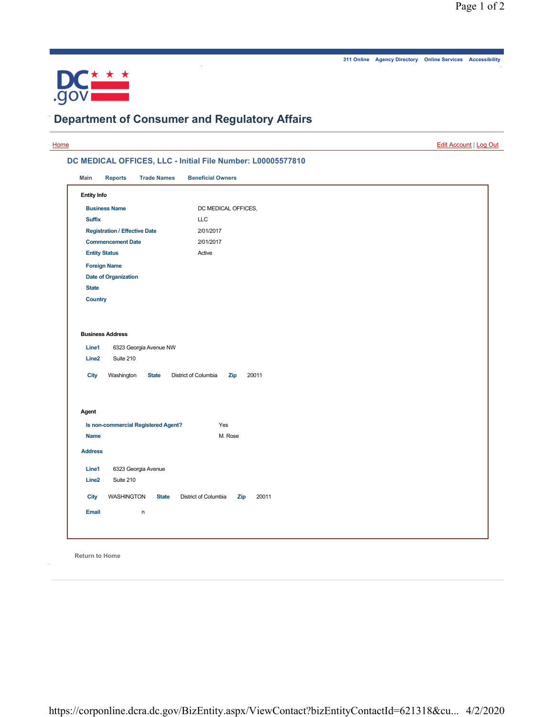.

**311 Online Agency Directory Online Services Accessibility**



.

## **Department of Consumer and Regulatory Affairs**

.

|                                                                             |                                             | Edit Account   Log Out |  |  |
|-----------------------------------------------------------------------------|---------------------------------------------|------------------------|--|--|
| DC MEDICAL OFFICES, LLC - Initial File Number: L00005577810                 |                                             |                        |  |  |
| Main<br><b>Reports</b><br><b>Trade Names</b>                                | <b>Beneficial Owners</b>                    |                        |  |  |
| <b>Entity Info</b>                                                          |                                             |                        |  |  |
| <b>Business Name</b>                                                        | DC MEDICAL OFFICES,                         |                        |  |  |
| <b>Suffix</b>                                                               | LLC                                         |                        |  |  |
| <b>Registration / Effective Date</b>                                        | 2/01/2017                                   |                        |  |  |
| <b>Commencement Date</b>                                                    | 2/01/2017                                   |                        |  |  |
| <b>Entity Status</b>                                                        | Active                                      |                        |  |  |
| <b>Foreign Name</b>                                                         |                                             |                        |  |  |
| <b>Date of Organization</b>                                                 |                                             |                        |  |  |
| <b>State</b>                                                                |                                             |                        |  |  |
| <b>Country</b>                                                              |                                             |                        |  |  |
| Line <sub>2</sub><br>Suite 210<br><b>City</b><br>Washington<br><b>State</b> | District of Columbia<br>20011<br>Zip        |                        |  |  |
| Agent                                                                       |                                             |                        |  |  |
| Is non-commercial Registered Agent?                                         | Yes                                         |                        |  |  |
| Name                                                                        | M. Rose                                     |                        |  |  |
| <b>Address</b>                                                              |                                             |                        |  |  |
| Line1<br>6323 Georgia Avenue                                                |                                             |                        |  |  |
| Suite 210<br>Line <sub>2</sub>                                              |                                             |                        |  |  |
| <b>WASHINGTON</b><br><b>State</b><br>City                                   | District of Columbia<br>20011<br><b>Zip</b> |                        |  |  |
| <b>Email</b><br>n                                                           |                                             |                        |  |  |
|                                                                             |                                             |                        |  |  |

**Return to Home**